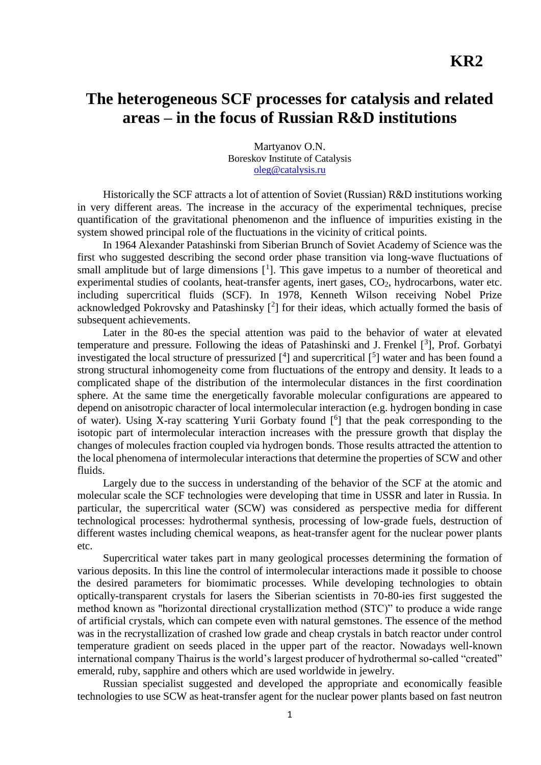## **The heterogeneous SCF processes for catalysis and related areas – in the focus of Russian R&D institutions**

Martyanov O.N. Boreskov Institute of Catalysis [oleg@catalysis.ru](mailto:oleg@catalysis.ru)

Historically the SCF attracts a lot of attention of Soviet (Russian) R&D institutions working in very different areas. The increase in the accuracy of the experimental techniques, precise quantification of the gravitational phenomenon and the influence of impurities existing in the system showed principal role of the fluctuations in the vicinity of critical points.

In 1964 Alexander Patashinski from Siberian Brunch of Soviet Academy of Science was the first who suggested describing the second order phase transition via long-wave fluctuations of small amplitude but of large dimensions  $[1]$ . This gave impetus to a number of theoretical and experimental studies of coolants, heat-transfer agents, inert gases, CO<sub>2</sub>, hydrocarbons, water etc. including supercritical fluids (SCF). In 1978, Kenneth Wilson receiving Nobel Prize acknowledged Pokrovsky and Patashinsky  $[2]$  for their ideas, which actually formed the basis of subsequent achievements.

Later in the 80-es the special attention was paid to the behavior of water at elevated temperature and pressure. Following the ideas of Patashinski and J. Frenkel [3], Prof. Gorbatyi investigated the local structure of pressurized  $[4]$  and supercritical  $[5]$  water and has been found a strong structural inhomogeneity come from fluctuations of the entropy and density. It leads to a complicated shape of the distribution of the intermolecular distances in the first coordination sphere. At the same time the energetically favorable molecular configurations are appeared to depend on anisotropic character of local intermolecular interaction (e.g. hydrogen bonding in case of water). Using X-ray scattering Yurii Gorbaty found [<sup>6</sup>] that the peak corresponding to the isotopic part of intermolecular interaction increases with the pressure growth that display the changes of molecules fraction coupled via hydrogen bonds. Those results attracted the attention to the local phenomena of intermolecular interactions that determine the properties of SCW and other fluids.

Largely due to the success in understanding of the behavior of the SCF at the atomic and molecular scale the SCF technologies were developing that time in USSR and later in Russia. In particular, the supercritical water (SCW) was considered as perspective media for different technological processes: hydrothermal synthesis, processing of low-grade fuels, destruction of different wastes including chemical weapons, as heat-transfer agent for the nuclear power plants etc.

Supercritical water takes part in many geological processes determining the formation of various deposits. In this line the control of intermolecular interactions made it possible to choose the desired parameters for biomimatic processes. While developing technologies to obtain optically-transparent crystals for lasers the Siberian scientists in 70-80-ies first suggested the method known as "horizontal directional crystallization method (STC)" to produce a wide range of artificial crystals, which сan compete even with natural gemstones. The essence of the method was in the recrystallization of crashed low grade and cheap crystals in batch reactor under control temperature gradient on seeds placed in the upper part of the reactor. Nowadays well-known international company Thairus is the world's largest producer of hydrothermal so-called "created" emerald, ruby, sapphire and others which are used worldwide in jewelry.

Russian specialist suggested and developed the appropriate and economically feasible technologies to use SCW as heat-transfer agent for the nuclear power plants based on fast neutron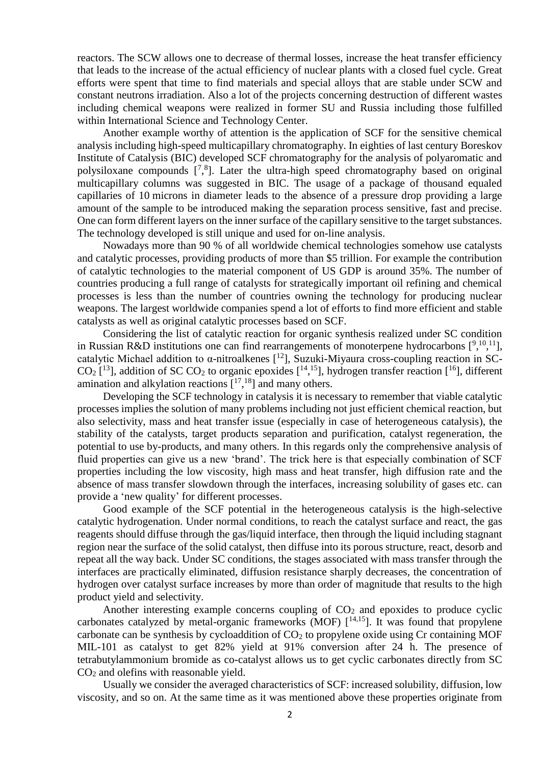reactors. The SCW allows one to decrease of thermal losses, increase the heat transfer efficiency that leads to the increase of the actual efficiency of nuclear plants with a closed fuel cycle. Great efforts were spent that time to find materials and special alloys that are stable under SCW and constant neutrons irradiation. Also a lot of the projects concerning destruction of different wastes including chemical weapons were realized in former SU and Russia including those fulfilled within International Science and Technology Center.

Another example worthy of attention is the application of SCF for the sensitive chemical analysis including high-speed multicapillary chromatography. In eighties of last century Boreskov Institute of Catalysis (BIC) developed SCF chromatography for the analysis of polyaromatic and polysiloxane compounds  $[^{7,8}].$  Later the ultra-high speed chromatography based on original multicapillary columns was suggested in BIC. The usage of a package of thousand equaled capillaries of 10 microns in diameter leads to the absence of a pressure drop providing a large amount of the sample to be introduced making the separation process sensitive, fast and precise. One can form different layers on the inner surface of the capillary sensitive to the target substances. The technology developed is still unique and used for on-line analysis.

Nowadays more than 90 % of all worldwide chemical technologies somehow use catalysts and catalytic processes, providing products of more than \$5 trillion. For example the contribution of catalytic technologies to the material component of US GDP is around 35%. The number of countries producing a full range of catalysts for strategically important oil refining and chemical processes is less than the number of countries owning the technology for producing nuclear weapons. The largest worldwide companies spend a lot of efforts to find more efficient and stable catalysts as well as original catalytic processes based on SCF.

Considering the list of catalytic reaction for organic synthesis realized under SC condition in Russian R&D institutions one can find rearrangements of monoterpene hydrocarbons  $[9,10,11]$ , catalytic Michael addition to  $\alpha$ -nitroalkenes [<sup>12</sup>], Suzuki-Miyaura cross-coupling reaction in SC- $CO<sub>2</sub>$  [<sup>13</sup>], addition of SC  $CO<sub>2</sub>$  to organic epoxides [<sup>14,15</sup>], hydrogen transfer reaction [<sup>16</sup>], different amination and alkylation reactions  $[1^7, 1^8]$  and many others.

<span id="page-1-0"></span>Developing the SCF technology in catalysis it is necessary to remember that viable catalytic processes implies the solution of many problems including not just efficient chemical reaction, but also selectivity, mass and heat transfer issue (especially in case of heterogeneous catalysis), the stability of the catalysts, target products separation and purification, catalyst regeneration, the potential to use by-products, and many others. In this regards only the comprehensive analysis of fluid properties can give us a new 'brand'. The trick here is that especially combination of SCF properties including the low viscosity, high mass and heat transfer, high diffusion rate and the absence of mass transfer slowdown through the interfaces, increasing solubility of gases etc. can provide a 'new quality' for different processes.

Good example of the SCF potential in the heterogeneous catalysis is the high-selective catalytic hydrogenation. Under normal conditions, to reach the catalyst surface and react, the gas reagents should diffuse through the gas/liquid interface, then through the liquid including stagnant region near the surface of the solid catalyst, then diffuse into its porous structure, react, desorb and repeat all the way back. Under SC conditions, the stages associated with mass transfer through the interfaces are practically eliminated, diffusion resistance sharply decreases, the concentration of hydrogen over catalyst surface increases by more than order of magnitude that results to the high product yield and selectivity.

Another interesting example concerns coupling of  $CO<sub>2</sub>$  and epoxides to produce cyclic carbonates catalyzed by metal-organic frameworks (MOF)  $[14,15]$ . It was found that propylene carbonate can be synthesis by cycloaddition of  $CO<sub>2</sub>$  to propylene oxide using Cr containing MOF MIL-101 as catalyst to get 82% yield at 91% conversion after 24 h. The presence of tetrabutylammonium bromide as co-catalyst allows us to get cyclic carbonates directly from SC  $CO<sub>2</sub>$  and olefins with reasonable yield.

Usually we consider the averaged characteristics of SCF: increased solubility, diffusion, low viscosity, and so on. At the same time as it was mentioned above these properties originate from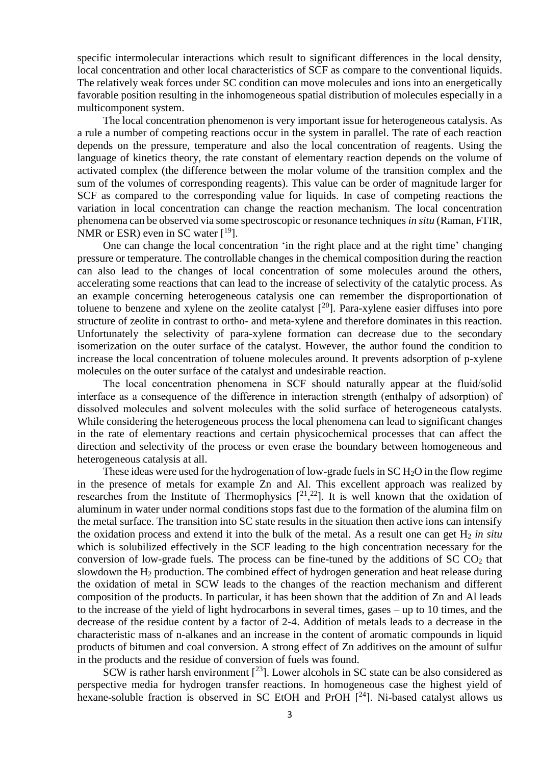specific intermolecular interactions which result to significant differences in the local density, local concentration and other local characteristics of SCF as compare to the conventional liquids. The relatively weak forces under SC condition can move molecules and ions into an energetically favorable position resulting in the inhomogeneous spatial distribution of molecules especially in a multicomponent system.

The local concentration phenomenon is very important issue for heterogeneous catalysis. As a rule a number of competing reactions occur in the system in parallel. The rate of each reaction depends on the pressure, temperature and also the local concentration of reagents. Using the language of kinetics theory, the rate constant of elementary reaction depends on the volume of activated complex (the difference between the molar volume of the transition complex and the sum of the volumes of corresponding reagents). This value can be order of magnitude larger for SCF as compared to the corresponding value for liquids. In case of competing reactions the variation in local concentration can change the reaction mechanism. The local concentration phenomena can be observed via some spectroscopic or resonance techniques *in situ* (Raman, FTIR, NMR or ESR) even in SC water  $[19]$ .

One can change the local concentration 'in the right place and at the right time' changing pressure or temperature. The controllable changes in the chemical composition during the reaction can also lead to the changes of local concentration of some molecules around the others, accelerating some reactions that can lead to the increase of selectivity of the catalytic process. As an example concerning heterogeneous catalysis one can remember the disproportionation of toluene to benzene and xylene on the zeolite catalyst  $[20]$ . Para-xylene easier diffuses into pore structure of zeolite in contrast to ortho- and meta-xylene and therefore dominates in this reaction. Unfortunately the selectivity of para-xylene formation can decrease due to the secondary isomerization on the outer surface of the catalyst. However, the author found the condition to increase the local concentration of toluene molecules around. It prevents adsorption of p-xylene molecules on the outer surface of the catalyst and undesirable reaction.

The local concentration phenomena in SCF should naturally appear at the fluid/solid interface as a consequence of the difference in interaction strength (enthalpy of adsorption) of dissolved molecules and solvent molecules with the solid surface of heterogeneous catalysts. While considering the heterogeneous process the local phenomena can lead to significant changes in the rate of elementary reactions and certain physicochemical processes that can affect the direction and selectivity of the process or even erase the boundary between homogeneous and heterogeneous catalysis at all.

These ideas were used for the hydrogenation of low-grade fuels in  $SC H<sub>2</sub>O$  in the flow regime in the presence of metals for example Zn and Al. This excellent approach was realized by researches from the Institute of Thermophysics  $[2^1, 2^2]$ . It is well known that the oxidation of aluminum in water under normal conditions stops fast due to the formation of the alumina film on the metal surface. The transition into SC state results in the situation then active ions can intensify the oxidation process and extend it into the bulk of the metal. As a result one can get  $H_2$  *in situ* which is solubilized effectively in the SCF leading to the high concentration necessary for the conversion of low-grade fuels. The process can be fine-tuned by the additions of  $SCCO<sub>2</sub>$  that slowdown the  $H_2$  production. The combined effect of hydrogen generation and heat release during the oxidation of metal in SCW leads to the changes of the reaction mechanism and different composition of the products. In particular, it has been shown that the addition of Zn and Al leads to the increase of the yield of light hydrocarbons in several times, gases – up to 10 times, and the decrease of the residue content by a factor of 2-4. Addition of metals leads to a decrease in the characteristic mass of n-alkanes and an increase in the content of aromatic compounds in liquid products of bitumen and coal conversion. A strong effect of Zn additives on the amount of sulfur in the products and the residue of conversion of fuels was found.

SCW is rather harsh environment  $[^{23}]$ . Lower alcohols in SC state can be also considered as perspective media for hydrogen transfer reactions. In homogeneous case the highest yield of hexane-soluble fraction is observed in SC EtOH and PrOH  $[^{24}]$ . Ni-based catalyst allows us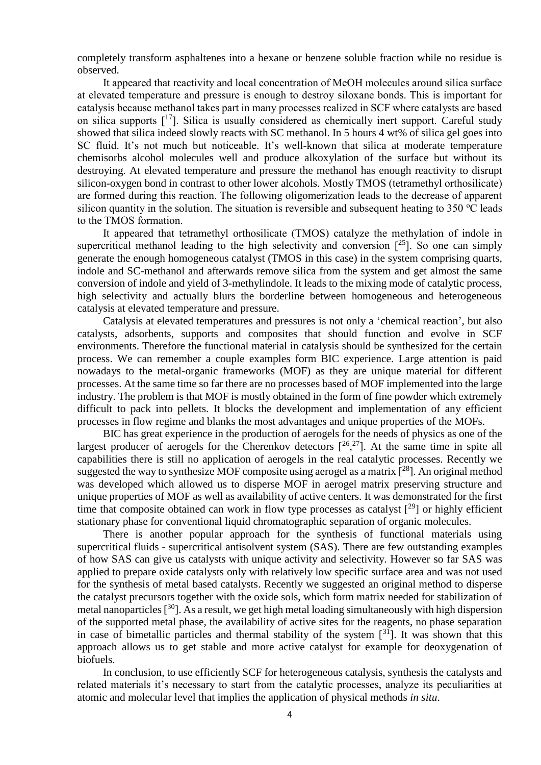completely transform asphaltenes into a hexane or benzene soluble fraction while no residue is observed.

It appeared that reactivity and local concentration of MeOH molecules around silica surface at elevated temperature and pressure is enough to destroy siloxane bonds. This is important for catalysis because methanol takes part in many processes realized in SCF where catalysts are based on silica supports  $[17]$  $[17]$  $[17]$ . Silica is usually considered as chemically inert support. Careful study showed that silica indeed slowly reacts with SC methanol. In 5 hours 4 wt% of silica gel goes into SC fluid. It's not much but noticeable. It's well-known that silica at moderate temperature chemisorbs alcohol molecules well and produce alkoxylation of the surface but without its destroying. At elevated temperature and pressure the methanol has enough reactivity to disrupt silicon-oxygen bond in contrast to other lower alcohols. Mostly TMOS (tetramethyl orthosilicate) are formed during this reaction. The following oligomerization leads to the decrease of apparent silicon quantity in the solution. The situation is reversible and subsequent heating to  $350^{\circ}$ C leads to the TMOS formation.

It appeared that tetramethyl orthosilicate (TMOS) catalyze the methylation of indole in supercritical methanol leading to the high selectivity and conversion  $[^{25}]$ . So one can simply generate the enough homogeneous catalyst (TMOS in this case) in the system comprising quarts, indole and SC-methanol and afterwards remove silica from the system and get almost the same conversion of indole and yield of 3-methylindole. It leads to the mixing mode of catalytic process, high selectivity and actually blurs the borderline between homogeneous and heterogeneous catalysis at elevated temperature and pressure.

Catalysis at elevated temperatures and pressures is not only a 'chemical reaction', but also catalysts, adsorbents, supports and composites that should function and evolve in SCF environments. Therefore the functional material in catalysis should be synthesized for the certain process. We can remember a couple examples form BIC experience. Large attention is paid nowadays to the metal-organic frameworks (MOF) as they are unique material for different processes. At the same time so far there are no processes based of MOF implemented into the large industry. The problem is that MOF is mostly obtained in the form of fine powder which extremely difficult to pack into pellets. It blocks the development and implementation of any efficient processes in flow regime and blanks the most advantages and unique properties of the MOFs.

BIC has great experience in the production of aerogels for the needs of physics as one of the largest producer of aerogels for the Cherenkov detectors  $[26,27]$ . At the same time in spite all capabilities there is still no application of aerogels in the real catalytic processes. Recently we suggested the way to synthesize MOF composite using aerogel as a matrix  $[28]$ . An original method was developed which allowed us to disperse MOF in aerogel matrix preserving structure and unique properties of MOF as well as availability of active centers. It was demonstrated for the first time that composite obtained can work in flow type processes as catalyst  $[2^9]$  or highly efficient stationary phase for conventional liquid chromatographic separation of organic molecules.

There is another popular approach for the synthesis of functional materials using supercritical fluids - supercritical antisolvent system (SAS). There are few outstanding examples of how SAS can give us catalysts with unique activity and selectivity. However so far SAS was applied to prepare oxide catalysts only with relatively low specific surface area and was not used for the synthesis of metal based catalysts. Recently we suggested an original method to disperse the catalyst precursors together with the oxide sols, which form matrix needed for stabilization of metal nanoparticles  $[30]$ . As a result, we get high metal loading simultaneously with high dispersion of the supported metal phase, the availability of active sites for the reagents, no phase separation in case of bimetallic particles and thermal stability of the system  $\lceil$ <sup>31</sup>]. It was shown that this approach allows us to get stable and more active catalyst for example for deoxygenation of biofuels.

In conclusion, to use efficiently SCF for heterogeneous catalysis, synthesis the catalysts and related materials it's necessary to start from the catalytic processes, analyze its peculiarities at atomic and molecular level that implies the application of physical methods *in situ*.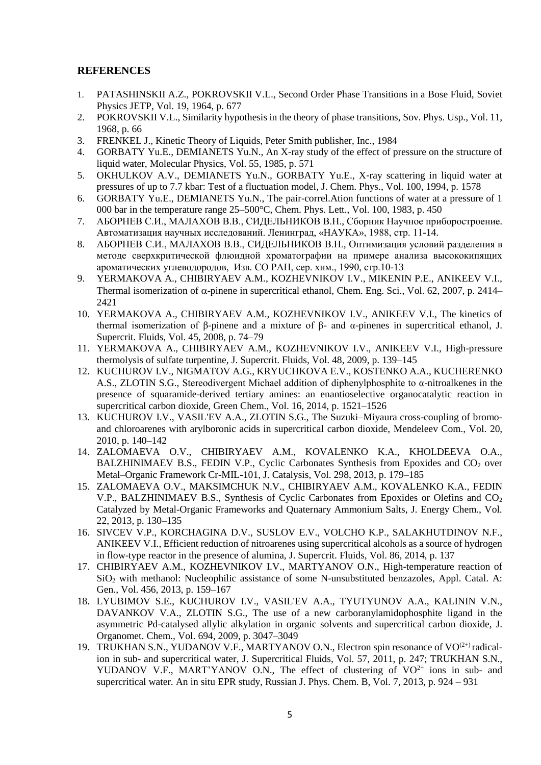## **REFERENCES**

- 1. PATASHINSKII A.Z., POKROVSKII V.L., Second Order Phase Transitions in a Bose Fluid, Soviet Physics JETP, Vol. 19, 1964, p. 677
- 2. POKROVSKII V.L., Similarity hypothesis in the theory of phase transitions, Sov. Phys. Usp., Vol. 11, 1968, p. 66
- 3. FRENKEL J., Kinetic Theory of Liquids, Peter Smith publisher, Inc., 1984
- 4. GORBATY Yu.E., DEMIANETS Yu.N., An X-ray study of the effect of pressure on the structure of liquid water, Molecular Physics, Vol. 55, 1985, p. 571
- 5. OKHULKOV A.V., DEMIANETS Yu.N., GORBATY Yu.E., X‐ray scattering in liquid water at pressures of up to 7.7 kbar: Test of a fluctuation model, J. Chem. Phys., Vol. 100, 1994, p. 1578
- 6. GORBATY Yu.E., DEMIANETS Yu.N., The pair-correl.Ation functions of water at a pressure of 1 000 bar in the temperature range 25–500°C, Chem. Phys. Lett., Vol. 100, 1983, p. 450
- 7. АБОРНЕВ С.И., МАЛАХОВ В.В., СИДЕЛЬНИКОВ В.Н., Сборник Научное приборостроение. Автоматизация научных исследований. Ленинград, «НАУКА», 1988, стр. 11-14.
- 8. АБОРНЕВ С.И., МАЛАХОВ В.В., СИДЕЛЬНИКОВ В.Н., Оптимизация условий разделения в методе сверхкритической флюидной хроматографии на примере анализа высококипящих ароматических углеводородов, Изв. СО РАН, сер. хим., 1990, стр.10-13
- 9. YERMAKOVA A., CHIBIRYAEV A.M., KOZHEVNIKOV I.V., MIKENIN P.E., ANIKEEV V.I., Thermal isomerization of  $\alpha$ -pinene in supercritical ethanol, Chem. Eng. Sci., Vol. 62, 2007, p. 2414– 2421
- 10. YERMAKOVA A., CHIBIRYAEV A.M., KOZHEVNIKOV I.V., ANIKEEV V.I., The kinetics of thermal isomerization of β-pinene and a mixture of β- and α-pinenes in supercritical ethanol, J. Supercrit. Fluids, Vol. 45, 2008, p. 74–79
- 11. YERMAKOVA A., CHIBIRYAEV A.M., KOZHEVNIKOV I.V., ANIKEEV V.I., High-pressure thermolysis of sulfate turpentine, J. Supercrit. Fluids, Vol. 48, 2009, p. 139–145
- 12. KUCHUROV I.V., NIGMATOV A.G., KRYUCHKOVA E.V., KOSTENKO A.A., KUCHERENKO A.S., ZLOTIN S.G., Stereodivergent Michael addition of diphenylphosphite to α-nitroalkenes in the presence of squaramide-derived tertiary amines: an enantioselective organocatalytic reaction in supercritical carbon dioxide, Green Chem., Vol. 16, 2014, p. 1521–1526
- 13. KUCHUROV I.V., VASIL'EV A.A., ZLOTIN S.G., The Suzuki–Miyaura cross-coupling of bromoand chloroarenes with arylboronic acids in supercritical carbon dioxide, Mendeleev Com., Vol. 20, 2010, p. 140–142
- 14. ZALOMAEVA O.V., CHIBIRYAEV A.M., KOVALENKO K.A., KHOLDEEVA O.A., BALZHINIMAEV B.S., FEDIN V.P., Cyclic Carbonates Synthesis from Epoxides and  $CO<sub>2</sub>$  over Metal–Organic Framework Cr-MIL-101, J. Catalysis, Vol. 298, 2013, p. 179–185
- 15. ZALOMAEVA O.V., MAKSIMCHUK N.V., CHIBIRYAEV A.M., KOVALENKO K.A., FEDIN V.P., BALZHINIMAEV B.S., Synthesis of Cyclic Carbonates from Epoxides or Olefins and CO<sub>2</sub> Catalyzed by Metal-Organic Frameworks and Quaternary Ammonium Salts, J. Energy Chem., Vol. 22, 2013, p. 130–135
- 16. SIVCEV V.P., KORCHAGINA D.V., SUSLOV E.V., VOLCHO K.P., SALAKHUTDINOV N.F., ANIKEEV V.I., Efficient reduction of nitroarenes using supercritical alcohols as a source of hydrogen in flow-type reactor in the presence of alumina, J. Supercrit. Fluids, Vol. 86, 2014, p. 137
- 17. CHIBIRYAEV A.M., KOZHEVNIKOV I.V., MARTYANOV O.N., High-temperature reaction of SiO<sup>2</sup> with methanol: Nucleophilic assistance of some N-unsubstituted benzazoles, Appl. Catal. A: Gen., Vol. 456, 2013, p. 159–167
- 18. LYUBIMOV S.E., KUCHUROV I.V., VASIL'EV A.A., TYUTYUNOV A.A., KALININ V.N., DAVANKOV V.A., ZLOTIN S.G., The use of a new carboranylamidophosphite ligand in the asymmetric Pd-catalysed allylic alkylation in organic solvents and supercritical carbon dioxide, J. Organomet. Chem., Vol. 694, 2009, p. 3047–3049
- 19. TRUKHAN S.N., YUDANOV V.F., MARTYANOV O.N., Electron spin resonance of VO<sup> $(2+)$ </sup> radicalion in sub- and supercritical water, J. Supercritical Fluids, Vol. 57, 2011, p. 247; TRUKHAN S.N., YUDANOV V.F., MART'YANOV O.N., The effect of clustering of  $VO^{2+}$  ions in sub- and supercritical water. An in situ EPR study, Russian J. Phys. Chem. B, Vol. 7, 2013, p. 924 – 931